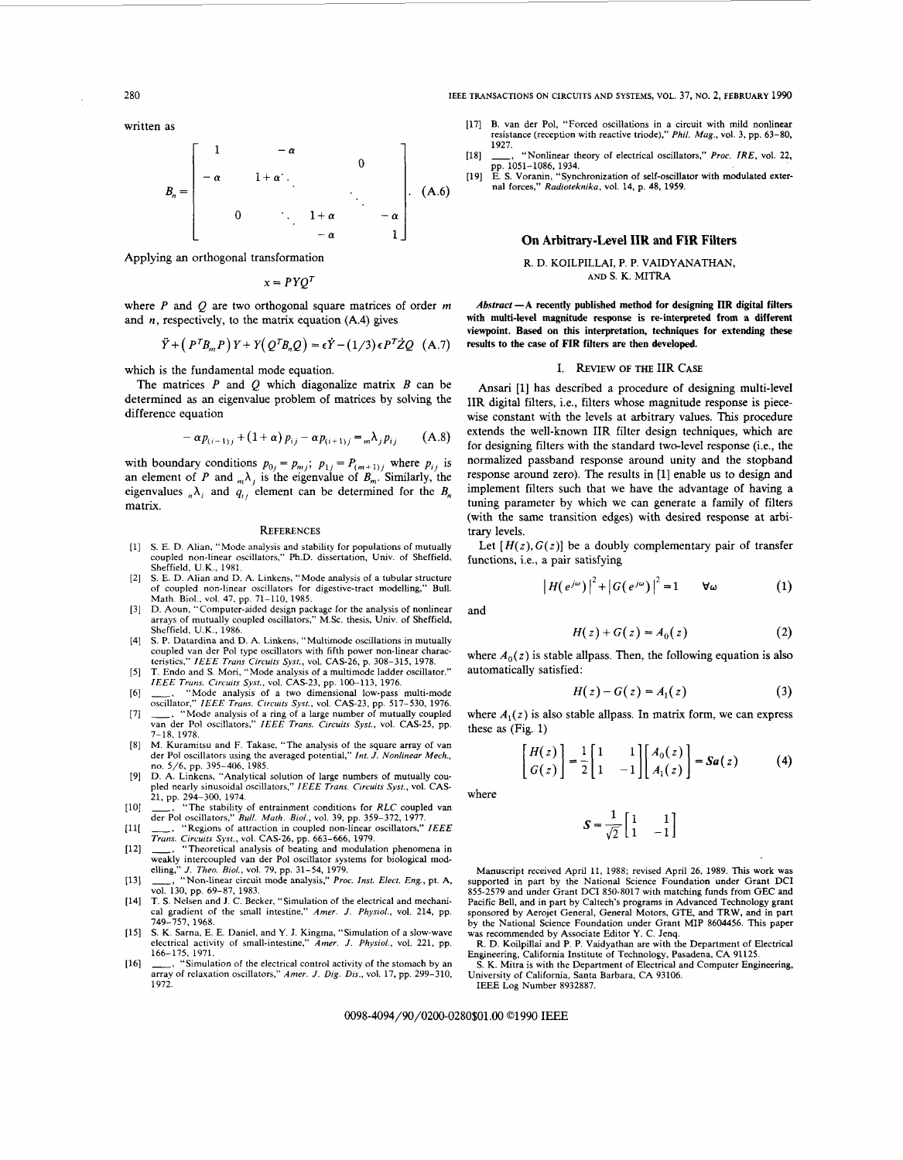as<br> **B**<sub>n</sub> =  $\begin{bmatrix} 1 & -\alpha & 0 \\ -\alpha & 1+\alpha & 0 \\ 0 & 1+\alpha & -\alpha \end{bmatrix}$  (A.6) <br>  $\begin{bmatrix} 19 \end{bmatrix}$  E. S. Voranin, "Synchronization of self-oscillators," Proc. IRE, vol. 22, pp. 1051-1086, 1934.<br>
(A.6) <br>  $\begin{bmatrix} 1 & -\alpha & 0 \\ 0 & 1+\alpha & -\alpha \end$  $-\alpha$ **127**<br> **127**<br> **138 14z**<br> **14**<br> **14**<br> **14**<br> **14**<br> **14**<br> **14**<br> **14**<br> **14**<br> **14**<br> **14**<br> **14**<br> **14**<br> **14**<br> **14**<br> **14**<br> **14**<br> **14**<br> **14**<br> **14**<br> **14**<br> **14**<br> **14**<br> **14**<br> **14**<br> **14**<br> **14**<br> **124**<br> **14**<br> **124**<br> **124**<br> **124**<br> **1** *IPHREFERANSACTIONS ON CIRCUITS AND SYSTEMS, VOL. 37, NO. 2, FEBRUARY 1990***<br>
<sup>1990</sup><br>
<sup>191</sup> B. van der Pol, "Forced oscillations in a circuit with mild nonlinear<br>
<sup>1927</sup>.<br>
<sup>1927</sup>. <sup>1927</sup>. "Nonlinear theory of electrical o** *0* .. *l+a -a -a* 1

Applying an orthogonal transformation

 $x = PYO^T$ 

and **n,**  respectively, to the matrix equation

$$
\ddot{Y} + (P^T B_m P) Y + Y (Q^T B_n Q) = \epsilon \dot{Y} - (1/3) \epsilon P^T \dot{Z} Q \quad (A.7)
$$

which is the fundamental mode equation.

The matrices *P* and *Q* which diagonalize matrix *B* can be determined as an eigenvalue problem of matrices by solving the difference equation

$$
-\alpha p_{(i-1)j} + (1+\alpha) p_{ij} - \alpha p_{(i+1)j} = {}_m\lambda_j p_{ij} \qquad (A.8)
$$

with boundary conditions  $p_{0j} = p_{mj}$ ;  $p_{1j} = P_{(m+1)j}$  where  $p_{ij}$  is an element of P and  $_n\lambda_i$  is the eigenvalue of  $B_m$ . Similarly, the eigenvalues  $_n\lambda_i$  and  $q_{ij}$  element can be determined for the *B<sub>n</sub>* matrix.

- **S.** E. D. Alian, "Mode analysis and stability for populations of mutually coupled non-linear oscillators," Ph.D. dissertation, Univ. of Sheffield, Sheffield, U.K., 1981.
- **S.** E. D. Alian and D. A. Linkens, "Mode analysis of a tubular structure  $[2]$ of coupled non-linear oscillators for digestive-tract modelling," Bull. Math. Biol.. **vol.** 47. pp. 71-110, 1985.
- $[3]$ D. Aoun, "Computer-aided design package for the analysis of nonlinear arrays of mutually coupled oscillators," M.Sc. thesis, Univ. of Sheffield, Sheffield, U.K., 1986.
- *S.* P. Datardina and D. A. Linkens, "Multimode oscillations in mutually  $[4]$ coupled van der Pol type oscillators with fifth power non-linear charac-<br>teristics,'' *IEEE Trans Circuits Syst*., vol. CAS-26, p. 308–315, 1978.<br>T. Endo and S. Mori, ''Mode analysis of a multimode ladder oscillator.''
- $[5]$
- *IEEE Trans. Circuits Syst.*, vol. CAS-23, pp. 100–113, 1976.<br>
\_\_, "Mode analysis of a two dimensional low-pass multi-mode  $[6]$ oscillator," *IEEE Truns. Circuits Syst.,* vol. CAS-23, pp. 517-530, 1976.
- -, "Mode analysis of a ring of a large number of mutually coupled van der Pol oscillators," *IEEE Truns. Circuits Syst.,* vol. CAS-25, pp.  $[7]$ 8, 1978
- $[8]$ M. Kurarnitsu and F. Takase, "The analysis of the square array of van der Pol oscillators using the averaged potential," *Int. J. Nonlinear Mech.,*  no. 5/6, pp, 395-406, 1985.
- $[9]$ **D.** A. Linkens. "Analytical solution of large numbers of mutually cou-pled nearly sinusoidal oscillators," *IEEE Truns. Circuits Syst.,* vol. CAS-
- 21, pp. 294-300. 1974. -, "The stability of entrainment conditions for *RLC* coupled van der Pol oscillators," *Bull. Muth. Biol.,* vol. 39, pp. 359-372, 1977.  $[10]$
- $[11]$ -, "Regions of attraction in coupled non-linear oscillators," *IEEE*
- *Truns. Circuits Syst.,* vol. CAS-26, pp. 663-666, 1979. \_, "Theoretical analysis of beating and modulation phenomena in weakly intercoupled van der Pol oscillator systems for biological mod- $[12]$
- elling," *J. Theo. Biol..* **vol.** 79, pp. 31-54, 1979. -, "Non-linear circuit mode analysis," *Proc. Inst. Elect. Eng.,* pt. A,  $[13]$ vol. 130, pp. 69–87, 1983.<br>[14] T. S. Nelsen and J. C. Becker, "Simulation of the electrical and mechani-
- cal gradient of the small intestine," *Amer. J. Physiol.,* vol. 214, pp. 749-757, 1968.
- **S. K.** Sarna, E. E. Daniel, and **Y. J.** Kingma, "Simulation of a slow-wave electrical activity of small-intestine,'' *Amer. J. Physiol.,* vol. 221, pp.
- 166–175, 1971.<br> **\_\_\_\_,** "Simulation of the electrical control activity of the stomach by an  $[16]$ array of relaxation oscillators," *Amer. J. Dig. Dis.,* vol. 17, pp. 299-310, 1972.

<sup>280</sup>**IEEE TRANSACTIONS ON CIRCUITS AND SYSTEMS,** VOL. zyxwvutsrqponmlkjihgfedcbaZYXWVUTSRQPONMLKJIHGFEDCBA **37, NO. 2, FEBRUARY <sup>1990</sup>**

- *Z80*<br> *zeta as*<br> *zyxype and the confidential of the confidence of the confidence (reception with reactive triode)," Phil. Mag., vol. 3, pp. 63–80,<br>
<b>Fig. 1*  $\alpha$  *(18)<br> zy<br> zy<br> zyxipe and the corpulsations in* 1171 B. van der Pol, "Forced oscillations in a circuit with mild nonlinear resistance (reception with reactive triode)," *Phil. Mag.,* vol. 3, pp. 63-80, 1927.
	- "Nonlinear theory of electrical oscillators," Proc. *İRE*, vol. 22, [18]
	- pp. 1051-1086, 1934. E. **S.** Voranin, "Synchronization of self-oscillator with modulated external forces," *Radioteknika,* vol. 14, p. 48, 1959. [19]

# **On Arbitrary-Level IIR and FIR Filters**

## **R.** D. **KOILPILLAI, P. P. VAIDYANATHAN, AND S. K. MITRA**

Applying an orthogonal transformation<br>  $x = PYQ^T$ <br>
where *P* and *Q* are two orthogonal square matrices of order *m*<br>
and *n*, respectively, to the matrix equation (A.4) gives<br>  $\frac{dy}{dx} = \frac{YQ^T}{T}$ <br>
where *P* and *Q* are tw **21**<br> **21 Dn Arbitrary-Level IIR and FIR Filters**<br> **21 D. KOILPILLAI, P. P. VAIDYANATHAN,**<br>
AND S. K. MITRA<br> **21 CA.4 22 EXPLEDCA** (A.4) gives with multi-level magnitude response is re-interpreted from a differe *Abstract* **-A recently published method for designing IIR digital filters with multi-level magnitude response is re-interpreted from a different viewpoint. Based on this interpretation, techniques for extending these results to the case of FIR filters are then developed.** 

## I. **REVIEW** OF THE IIR **CASE**

wise constant with the levels at arbitrary values. This procedure<br>  $-\alpha p_{(i-1)j} + (1+\alpha) p_{ij} - \alpha p_{(i+1)j} = m\lambda_j p_{ij}$  (A.8) extends the well-known IIR filter design techniques, which are<br>
for designing filters with the standard **Ansari** [l] has described a procedure of designing multi-level IIR digital filters, i.e., filters whose magnitude response is piecewise constant with the levels at arbitrary values. This procedure extends the well-known IIR filter design techniques, which are for designing filters with the standard two-level response (i.e., the normalized passband response around unity and the stopband response around zero). The results in *[l]* enable us to design and implement filters such that we have the advantage of having a tuning parameter by which we can generate a family of filters (with the same transition edges) with desired response at arbitrary levels.

Let  $[H(z), G(z)]$  be a doubly complementary pair of transfer functions, i.e., a pair satisfying

$$
\left|H(e^{j\omega})\right|^2 + \left|G(e^{j\omega})\right|^2 = 1 \qquad \forall \omega \tag{1}
$$

and

$$
H(z) + G(z) = A_0(z)
$$
 (2)

where  $A_0(z)$  is stable allpass. Then, the following equation is also automatically satisfied:

$$
H(z) - G(z) = A_1(z)
$$
 (3)

where  $A_1(z)$  is also stable allpass. In matrix form, we can express these **as** (Fig. *1)* 

$$
\begin{bmatrix} H(z) \\ G(z) \end{bmatrix} = \frac{1}{2} \begin{bmatrix} 1 & 1 \\ 1 & -1 \end{bmatrix} \begin{bmatrix} A_0(z) \\ A_1(z) \end{bmatrix} = Sa(z) \tag{4}
$$

where

$$
S = \frac{1}{\sqrt{2}} \begin{bmatrix} 1 & 1 \\ 1 & -1 \end{bmatrix}
$$

der Pol oscillators," Bull. Math. Biol., vol. 39, pp. 359–372, 1977.<br>  $T_{\text{ERS}}$ . "Regions of attaction in coupled non-linear oscillators," IEEE  $\frac{1}{\sqrt{2}}\begin{bmatrix} 1 & 1 \\ 1 & -1 \end{bmatrix}$ <br>  $\cdots$  "Stegions of attaction in coupled Manuscript received April 11, 1988; revised April 26, 1989. **This work** was supported in part by the National Science Foundation under Grant DCI 855-2579 and under Grant DCI 850-8017 with matching funds from GEC and Pacific Bell, and in part by Caltech's programs in Advanced Technology grant sponsored by Aerojet General, General Motors, GTE, and TRW, and in part by the National Science Foundation under Grant MIP 8604456. This paper was recommended by Associate Editor **Y.** C. Jenq.

R. **D.** Koilpillai and P. P. Vaidyathan are with the Department of Electrical Engineering, California Institute of Technology, Pasadena, CA 91125.

**S.** K. Mitra is with the Department of Electrical and Computer Engineering, University of California, Santa Barbara, **CA** 93106. IEEE Log Number 8932887.

OO98-4094/90/02OO-0280\$01 .OO *01990* IEEE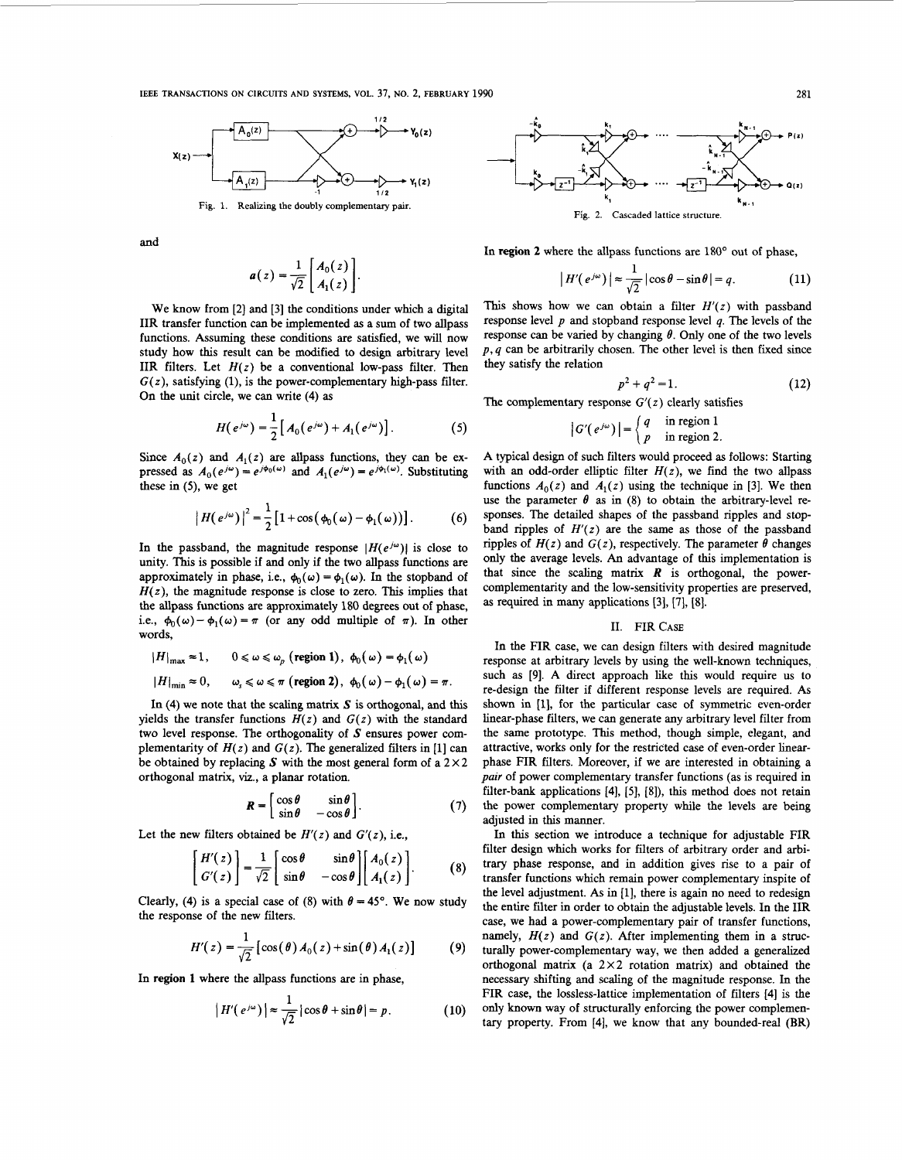

and

$$
a(z) = \frac{1}{\sqrt{2}} \begin{bmatrix} A_0(z) \\ A_1(z) \end{bmatrix}.
$$

We know from [2] and [3] the conditions under which a digital **IIR** transfer function can be implemented **as** a sum of two allpass functions. Assuming these conditions are satisfied, we will now study how this result can be modified to design arbitrary level **IIR**  $\mathbf{H}'(e^{j\omega})| \approx \frac{1}{\sqrt{2}} |\cos \theta - \sin \theta| = q.$  (11)<br>
We know from [2] and [3] the conditions under which a digital This shows how we can obtain a filter  $H'(z)$  with passband<br>
IIR transfer function can be implemented as a IIR filters. Let  $H(z)$  be a conventional low-pass filter. Then  $G(z)$ , satisfying (1), is the power-complementary high-pass filter. On the unit circle, we can write **(4) as** 

$$
H(e^{j\omega}) = \frac{1}{2} [A_0(e^{j\omega}) + A_1(e^{j\omega})].
$$
 (5)

Since  $A_0(z)$  and  $A_1(z)$  are allpass functions, they can be ex-<br>pressed as  $A_0(e^{j\omega}) = e^{j\phi_0(\omega)}$  and  $A_1(e^{j\omega}) = e^{j\phi_1(\omega)}$ . Substituting these in **(5),** we get

$$
\left| H\!\left(e^{j\omega}\right) \right|^2 = \frac{1}{2} \left[ 1 + \cos\!\left(\phi_0\!\left(\omega\right) - \phi_1\!\left(\omega\right)\right) \right].\tag{6}
$$

In the passband, the magnitude response  $|H(e^{j\omega})|$  is close to unity. This is possible if and only if the two allpass functions are approximately in phase, i.e.,  $\phi_0(\omega) = \phi_1(\omega)$ . In the stopband of  $H(z)$ , the magnitude response is close to zero. This implies that the allpass functions are approximately **180** degrees out of phase, i.e.,  $\phi_0(\omega) - \phi_1(\omega) = \pi$  (or any odd multiple of  $\pi$ ). In other words,

$$
|H|_{\max} \approx 1, \qquad 0 \le \omega \le \omega_p \text{ (region 1), } \phi_0(\omega) = \phi_1(\omega)
$$
  

$$
|H|_{\min} \approx 0, \qquad \omega_s \le \omega \le \pi \text{ (region 2), } \phi_0(\omega) - \phi_1(\omega) = \pi.
$$

In **(4)** we note that the scaling matrix **S** is orthogonal, and **this**  yields the transfer functions  $H(z)$  and  $G(z)$  with the standard two level response. The orthogonality of **S** ensures power complementarity of  $H(z)$  and  $G(z)$ . The generalized filters in [1] can be obtained by replacing  $S$  with the most general form of a  $2 \times 2$ orthogonal matrix, viz., a planar rotation.

$$
\mathbf{R} = \begin{bmatrix} \cos \theta & \sin \theta \\ \sin \theta & -\cos \theta \end{bmatrix} . \tag{7}
$$

Let the new filters obtained be  $H'(z)$  and  $G'(z)$ , i.e.,

$$
\begin{bmatrix} H'(z) \\ G'(z) \end{bmatrix} = \frac{1}{\sqrt{2}} \begin{bmatrix} \cos \theta & \sin \theta \\ \sin \theta & -\cos \theta \end{bmatrix} \begin{bmatrix} A_0(z) \\ A_1(z) \end{bmatrix} . \tag{8}
$$

Clearly, **(4)** is a special case of **(8)** with  $\theta = 45^\circ$ . We now study the response of the new filters.

$$
H'(z) = \frac{1}{\sqrt{2}} \left[ \cos(\theta) A_0(z) + \sin(\theta) A_1(z) \right]
$$
 (9)

**In region 1** where the allpass functions are in phase,

$$
|H'(e^{j\omega})| \approx \frac{1}{\sqrt{2}}|\cos\theta + \sin\theta| = p. \tag{10}
$$



**In region 2** where the allpass functions are 180' out of phase,

here the allpass functions are 180° out of phase,  
\n
$$
|H'(e^{j\omega})| \approx \frac{1}{\sqrt{2}} |\cos \theta - \sin \theta| = q.
$$
 (11)

This shows how we can obtain a filter  $H'(z)$  with passband response level *p* and stopband response level *q.* The levels of the response can be varied by changing  $\theta$ . Only one of the two levels *p,* q can be arbitrarily chosen. The other level is then fixed since they satisfy the relation

$$
p^2 + q^2 = 1. \tag{12}
$$

The complementary response  $G'(z)$  clearly satisfies

$$
|G'(e^{j\omega})| = \begin{cases} q & \text{in region 1} \\ p & \text{in region 2.} \end{cases}
$$

On the unit circle, we can write (4) as<br>  $H(e^{j\omega}) = \frac{1}{2} [A_0(e^{j\omega}) + A_1(e^{j\omega})]$ .<br>  $H(e^{j\omega}) = \frac{1}{2} [A_0(e^{j\omega}) + A_1(e^{j\omega})]$ .<br>  $H(e^{j\omega}) = \frac{1}{2} [A_0(e^{j\omega}) + A_1(e^{j\omega})]$ .<br>  $H(e^{j\omega}) = \begin{cases} 4 & \text{in region 1} \\ p & \text{in region 2} \end{cases}$ .<br>
Since  $A_0(z)$ A typical design of such filters would proceed **as** follows: Starting with an odd-order elliptic filter  $H(z)$ , we find the two allpass functions  $A_0(z)$  and  $A_1(z)$  using the technique in [3]. We then use the parameter  $\theta$  as in (8) to obtain the arbitrary-level responses. The detailed shapes of the passband ripples and stopband ripples of  $H'(z)$  are the same as those of the passband ripples of  $H(z)$  and  $G(z)$ , respectively. The parameter  $\theta$  changes only the average levels. **An** advantage of **this** implementation is that since the scaling matrix  $\mathbf{R}$  is orthogonal, the powercomplementarity and the low-sensitivity properties are preserved, as required in many applications [3], [7], [8].

## **11. FIR CASE**

 $\phi_0(\omega) - \phi_1(\omega) = \pi$  (or any odd multiple of  $\pi$ ). In other<br> *II.* FIR Case<br> *II.* FIR Case<br>  $H|_{\text{max}} \approx 1$ ,  $0 \le \omega \le \omega_p$  (region 1),  $\phi_0(\omega) = \phi_1(\omega)$ <br>  $H|_{\text{min}} \approx 0$ ,  $\omega_s \le \omega \le \pi$  (region 2),  $\phi_0(\omega) - \phi_1(\omega) = \pi$ .<br> **I In** the **FIR** case, we can design filters with desired magnitude response at arbitrary levels by using the well-known techniques, such as **[9].** A direct approach like this would require **us** to re-design the filter if different response levels are required. As shown in **[l],** for the particular case of symmetric even-order linear-phase filters, we can generate any arbitrary level filter from the same prototype. This method, though simple, elegant, and attractive, works only for the restricted case of even-order linearphase **FIR** filters. Moreover, if we are interested in obtaining a *pair* of power complementary transfer functions (as is required in filter-bank applications **[4], [5], [SI),** this method does not retain the power complementary property while the levels are being adjusted in this manner.

> In this section we introduce a technique for adjustable **FIR**  filter design which works for filters of arbitrary order and arbitrary phase response, and in addition gives rise to a pair of transfer functions which remain power complementary inspite of the level adjustment. As in [l], there is again no need to redesign the entire filter in order to obtain the adjustable levels. **In** the **IIR**  case, we had a power-complementary pair of transfer functions, namely,  $H(z)$  and  $G(z)$ . After implementing them in a structurally power-complementary way, we then added a generalized orthogonal matrix (a  $2 \times 2$  rotation matrix) and obtained the necessary shifting and scaling of the magnitude response. In the **FIR** case, the lossless-lattice implementation of filters **[4]** is the only known way of structurally enforcing the power complementary property. From **[4],** we know that any bounded-real (BR)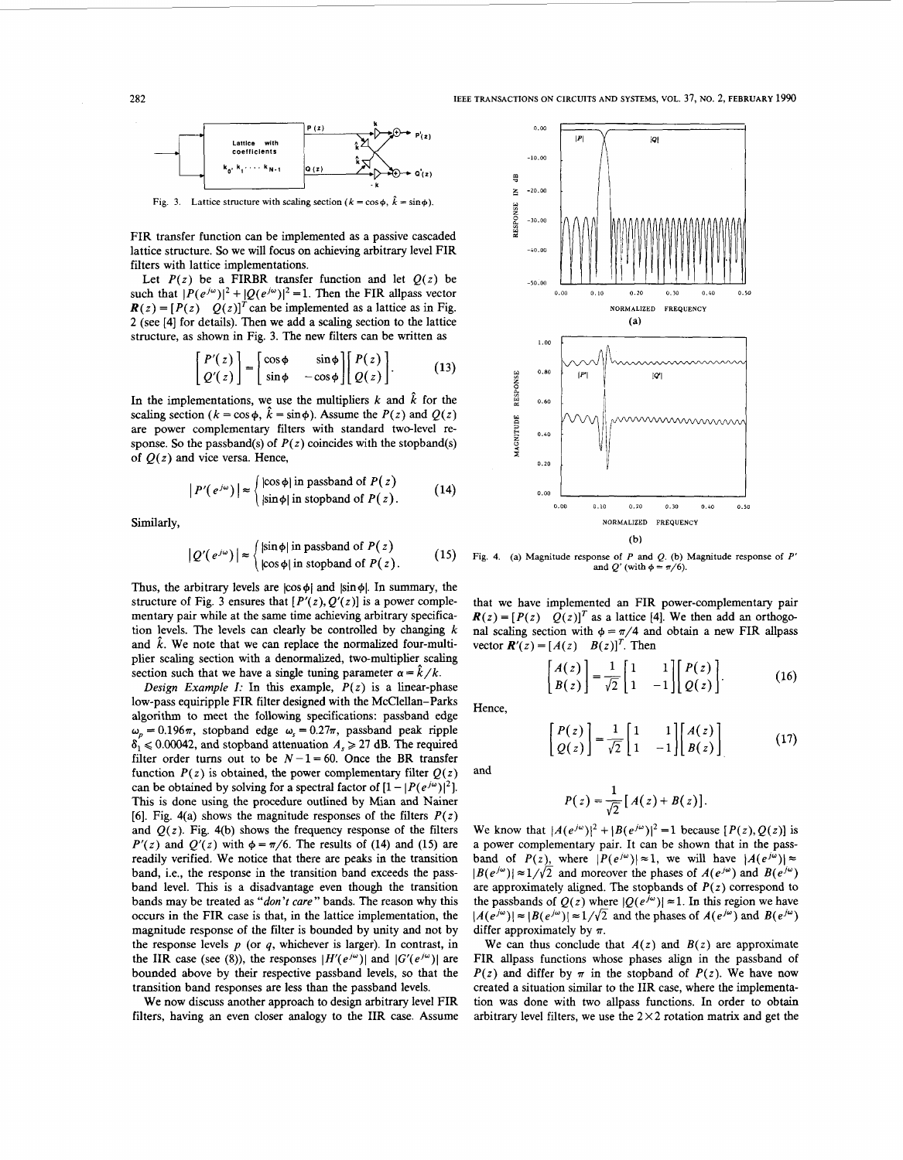

FIR transfer function can be implemented **as** a passive cascaded lattice structure. *So* we will focus on achieving arbitrary level FIR filters with lattice implementations.

Let  $P(z)$  be a FIRBR transfer function and let  $Q(z)$  be *2* (see [4] for details). Then we add a scaling section to the lattice structure, as shown in Fig. **3.** The new filters can be written **as** 

$$
\begin{bmatrix} P'(z) \\ Q'(z) \end{bmatrix} = \begin{bmatrix} \cos\phi & \sin\phi \\ \sin\phi & -\cos\phi \end{bmatrix} \begin{bmatrix} P(z) \\ Q(z) \end{bmatrix}.
$$
 (13)

In the implementations, we use the multipliers  $k$  and  $\hat{k}$  for the scaling section  $(k = \cos \phi, \hat{k} = \sin \phi)$ . Assume the  $P(z)$  and  $Q(z)$ are power complementary filters with standard two-level response. So the passband(s) of  $P(z)$  coincides with the stopband(s) of  $Q(z)$  and vice versa. Hence,

$$
|P'(e^{j\omega})| \approx \begin{cases} |\cos \phi| \text{ in passband of } P(z) \\ |\sin \phi| \text{ in stopband of } P(z). \end{cases}
$$
 (14)

Similarly,

$$
|Q'(e^{j\omega})| \approx \begin{cases} |\sin \phi| \text{ in passband of } P(z) \\ |\cos \phi| \text{ in stopband of } P(z). \end{cases}
$$
 (15)

structure of Fig. 3 ensures that  $[P'(z), Q'(z)]$  is a power complementary pair while at the same time achieving arbitrary specification ievels. The levels can clearly be controlled by changing *k*  and  $\hat{k}$ . We note that we can replace the normalized four-multiplier scaling section with a denormalized, two-multiplier scaling section such that we have a single tuning parameter  $\alpha = \hat{k}/k$ .

*Design Example I:* In **this** example, *P(z)* is a linear-phase low-pass equiripple FIR filter designed with the McClellan-Parks algorithm to meet the following specifications: passband edge  $\omega_p = 0.196\pi$ , stopband edge  $\omega_s = 0.27\pi$ , passband peak ripple  $\delta_1 \leq 0.00042$ , and stopband attenuation  $A_s \geq 27$  dB. The required filter order turns out to be  $N - 1 = 60$ . Once the BR transfer function  $P(z)$  is obtained, the power complementary filter  $Q(z)$ can be obtained by solving for a spectral factor of  $[1 - |P(e^{j\omega})|^2]$ . This is done using the procedure outlined by Mian and Nainer *[6].* Fig. 4(a) shows the magnitude responses of the filters *P(z)*  and  $Q(z)$ . Fig. 4(b) shows the frequency response of the filters  $P'(z)$  and  $Q'(z)$  with  $\phi = \pi/6$ . The results of (14) and (15) are readily verified, We notice that there are peaks in the transition band, i.e., the response in the transition band exceeds the passband level. This is a disadvantage even though the transition bands may be treated **as** *"don't cure"* bands. The reason why **this**  occurs in the FIR case is that, in the lattice implementation, the magnitude response of the filter is bounded by unity and not by the response levels  $p$  (or  $q$ , whichever is larger). In contrast, in the IIR case (see (8)), the responses  $|H'(e^{j\omega})|$  and  $|G'(e^{j\omega})|$  are bounded above by their respective passband levels, *so* that the transition band responses are less than the passband levels.

We now discuss another approach to design arbitrary level FIR filters, having an even closer analogy to the IIR case. Assume



**Fig. 4. (a) Magnitude response of P and Q. (b) Magnitude response of P'**  and  $Q'$  (with  $\phi = \pi/6$ ).

that we have implemented an FIR power-complementary pair  $R(z) = [P(z) \quad Q(z)]^T$  as a lattice [4]. We then add an orthogonal scaling section with  $\phi = \pi/4$  and obtain a new FIR allpass vector  $\mathbf{R}'(z) = [A(z) \quad B(z)]^T$ . Then

$$
\begin{bmatrix} A(z) \\ B(z) \end{bmatrix} = \frac{1}{\sqrt{2}} \begin{bmatrix} 1 & 1 \\ 1 & -1 \end{bmatrix} \begin{bmatrix} P(z) \\ Q(z) \end{bmatrix}.
$$
 (16)

Hence,

and

$$
\begin{bmatrix} P(z) \\ Q(z) \end{bmatrix} = \frac{1}{\sqrt{2}} \begin{bmatrix} 1 & 1 \\ 1 & -1 \end{bmatrix} \begin{bmatrix} A(z) \\ B(z) \end{bmatrix}
$$
 (17)

 $P(z) = \frac{1}{\sqrt{2}} [A(z) + B(z)].$ 

We know that  $|A(e^{j\omega})|^2 + |B(e^{j\omega})|^2 = 1$  because  $[P(z), Q(z)]$  is a power complementary pair. It can be shown that in the passband of  $P(z)$ , where  $|P(e^{j\omega})| \approx 1$ , we will have  $|A(e^{j\omega})| \approx$  $|B(e^{j\omega})| \approx 1/\sqrt{2}$  and moreover the phases of  $A(e^{j\omega})$  and  $B(e^{j\omega})$ are approximately aligned. The stopbands of *P(z)* correspond to the passbands of  $Q(z)$  where  $|Q(e^{j\omega})| \approx 1$ . In this region we have  $|A(e^{j\omega})| \approx |B(e^{j\omega})| \approx 1/\sqrt{2}$  and the phases of  $A(e^{j\omega})$  and  $B(e^{j\omega})$ differ approximately by **n.** 

We can thus conclude that  $A(z)$  and  $B(z)$  are approximate FIR allpass functions whose phases align in the passband of  $P(z)$  and differ by  $\pi$  in the stopband of  $P(z)$ . We have now created a situation similar to the IIR case, where the implementation was done with two allpass functions. In order to obtain arbitrary level filters, we use the  $2 \times 2$  rotation matrix and get the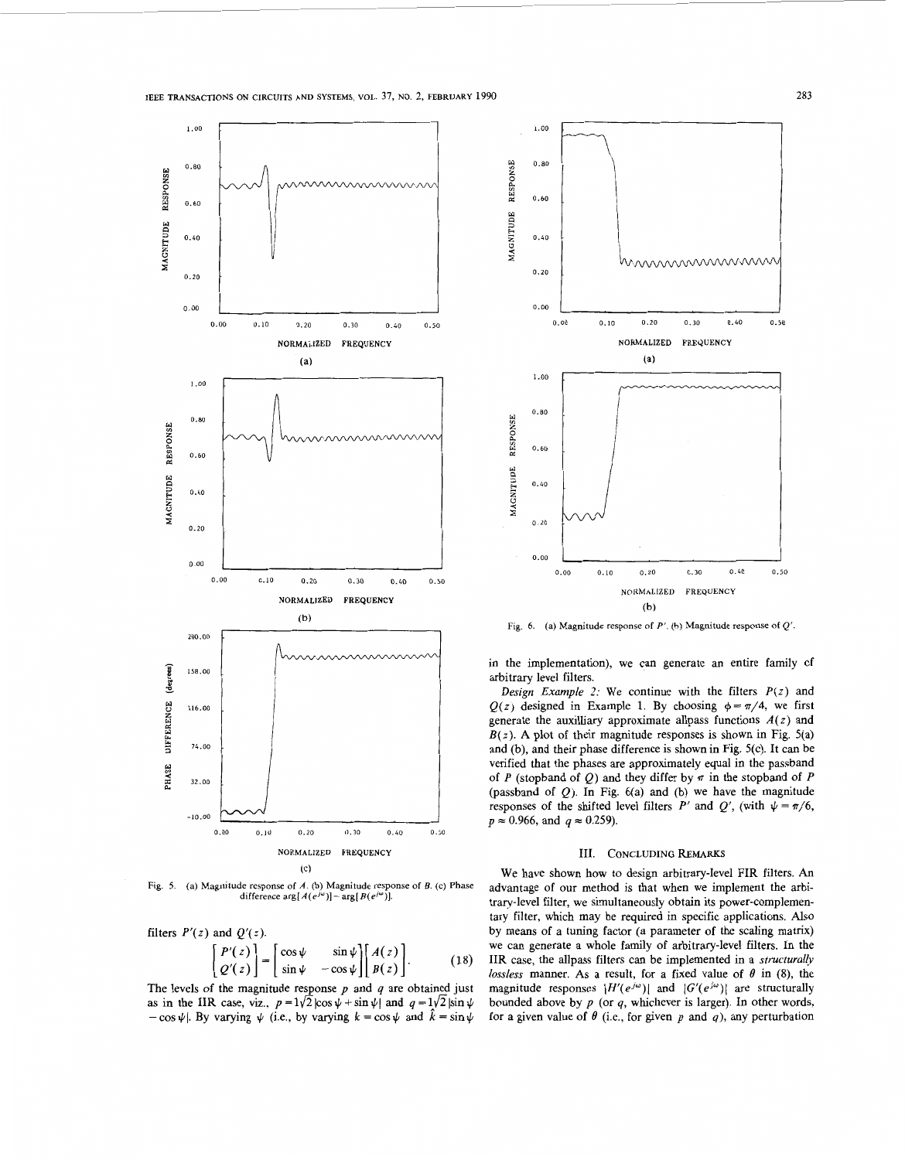

(a) Magnitude response of *A*. (b) Magnitude response of *B*. (c) Phase difference  $\arg[A(e^{j\omega})] - \arg[B(e^{j\omega})]$ .

filters  $P'(z)$  and  $Q'(z)$ .

$$
\begin{bmatrix} P'(z) \\ Q'(z) \end{bmatrix} = \begin{bmatrix} \cos\psi & \sin\psi \\ \sin\psi & -\cos\psi \end{bmatrix} \begin{bmatrix} A(z) \\ B(z) \end{bmatrix}.
$$
 (18)

The levels of the magnitude response  $p$  and  $q$  are obtained just as in the IIR case, viz.,  $p = 1/\sqrt{2} |\cos \psi + \sin \psi|$  and  $q = 1/\sqrt{2} |\sin \psi|$  $-\cos \psi$ . By varying  $\psi$  (i.e., by varying  $k = \cos \psi$  and  $\hat{k} = \sin \psi$ 



Fig. *6.* **(a) Magnitude response of P'. (b) Magnitude response of** *Q'.* 

in the implementation), we can generate an entire family of arbitrary level filters.

*Design Example 2:* We continue with the filters *P(z)* and  $Q(z)$  designed in Example 1. By choosing  $\phi = \pi/4$ , we first generate the auxilliary approximate allpass functions *A(z)* and  $B(z)$ . A plot of their magnitude responses is shown in Fig. 5(a) and (b), and their phase difference is shown in Fig. 5(c). It can be verified that the phases are approximately equal in the passband of P (stopband of Q) and they differ by  $\pi$  in the stopband of P (passband of  $Q$ ). In Fig.  $6(a)$  and (b) we have the magnitude responses of the shifted level filters *P'* and *Q'*, (with  $\psi = \pi/6$ ,  $p \approx 0.966$ , and  $q \approx 0.259$ ).

## 111. **CONCLUDING** REMARKS

We have shown how *to* design arbitrary-level FIR filters. **An**  advantage of our method is that when we implement the arbitrary-level filter, we simultaneously obtain its power-complementary filter, which may be required in specific applications. *Also*  by means of a tuning factor (a parameter of the scaling matrix) we can generate a whole family of arbitrary-level filters. In the IIR case, the allpass filters can be implemented in a *structurally*  lossless manner. As a result, for a fixed value of  $\theta$  in (8), the magnitude responses  $|H'(e^{j\omega})|$  and  $|G'(e^{j\omega})|$  are structurally bounded above by  $p$  (or  $q$ , whichever is larger). In other words, for a given value of  $\theta$  (i.e., for given  $p$  and  $q$ ), any perturbation